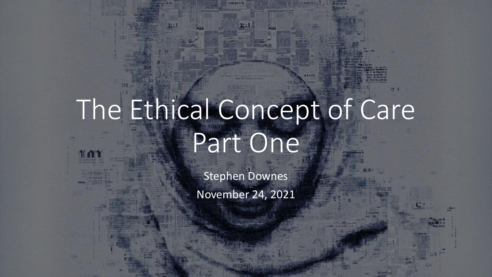# The Ethical Concept of Care Part One

**MAL** 

Stephen Downes November 24, 2021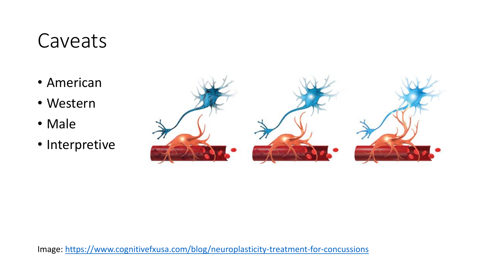#### Caveats

- American
- Western
- Male
- Interpretive



Image:<https://www.cognitivefxusa.com/blog/neuroplasticity-treatment-for-concussions>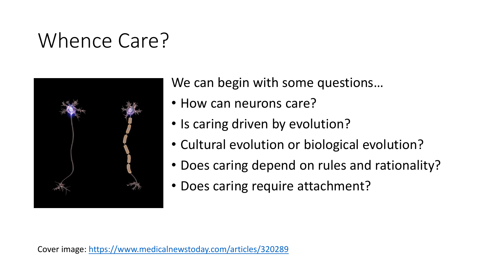#### Whence Care?



We can begin with some questions…

- How can neurons care?
- Is caring driven by evolution?
- Cultural evolution or biological evolution?
- Does caring depend on rules and rationality?
- Does caring require attachment?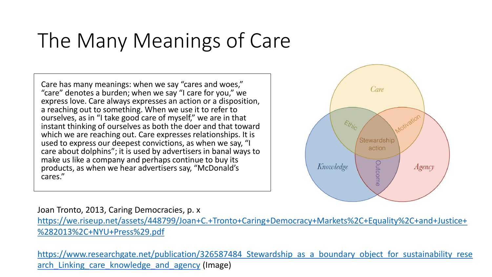#### The Many Meanings of Care

Care has many meanings: when we say "cares and woes," "care" denotes a burden; when we say "I care for you," we express love. Care always expresses an action or a disposition, a reaching out to something. When we use it to refer to ourselves, as in "I take good care of myself," we are in that instant thinking of ourselves as both the doer and that toward which we are reaching out. Care expresses relationships. It is used to express our deepest convictions, as when we say, "I care about dolphins"; it is used by advertisers in banal ways to make us like a company and perhaps continue to buy its products, as when we hear advertisers say, "McDonald's cares."



#### Joan Tronto, 2013, Caring Democracies, p. x

[https://we.riseup.net/assets/448799/Joan+C.+Tronto+Caring+Democracy+Markets%2C+Equality%2C+and+Justice+](https://we.riseup.net/assets/448799/Joan+C.+Tronto+Caring+Democracy+Markets%2C+Equality%2C+and+Justice+%282013%2C+NYU+Press%29.pdf) %282013%2C+NYU+Press%29.pdf

https://www.researchgate.net/publication/326587484 Stewardship as a boundary object for sustainability rese arch Linking care knowledge and agency (Image)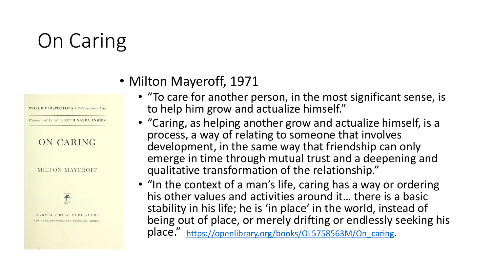### On Caring



- Milton Mayeroff, 1971
	- "To care for another person, in the most significant sense, is to help him grow and actualize himself."
	- "Caring, as helping another grow and actualize himself, is a process, a way of relating to someone that involves development, in the same way that friendship can only emerge in time through mutual trust and a deepening and qualitative transformation of the relationship."
	- "In the context of a man's life, caring has a way or ordering his other values and activities around it… there is a basic stability in his life; he is 'in place' in the world, instead of being out of place, or merely drifting or endlessly seeking his place." [https://openlibrary.org/books/OL5758563M/On\\_caring](https://openlibrary.org/books/OL5758563M/On_caring).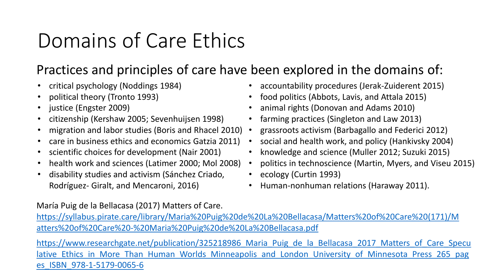#### Domains of Care Ethics

#### Practices and principles of care have been explored in the domains of:

- critical psychology (Noddings 1984)
- political theory (Tronto 1993)
- justice (Engster 2009)
- citizenship (Kershaw 2005; Sevenhuijsen 1998)
- migration and labor studies (Boris and Rhacel 2010)
- care in business ethics and economics Gatzia 2011)
- scientific choices for development (Nair 2001)
- health work and sciences (Latimer 2000; Mol 2008)
- disability studies and activism (Sánchez Criado, Rodríguez- Giralt, and Mencaroni, 2016)
- accountability procedures (Jerak-Zuiderent 2015)
- food politics (Abbots, Lavis, and Attala 2015)
- animal rights (Donovan and Adams 2010)
- farming practices (Singleton and Law 2013)
- grassroots activism (Barbagallo and Federici 2012)
- social and health work, and policy (Hankivsky 2004)
- knowledge and science (Muller 2012; Suzuki 2015)
- politics in technoscience (Martin, Myers, and Viseu 2015)
- ecology (Curtin 1993)
- Human-nonhuman relations (Haraway 2011).

María Puig de la Bellacasa (2017) Matters of Care.

[https://syllabus.pirate.care/library/Maria%20Puig%20de%20La%20Bellacasa/Matters%20of%20Care%20\(171\)/M](https://syllabus.pirate.care/library/Maria%20Puig%20de%20La%20Bellacasa/Matters%20of%20Care%20(171)/Matters%20of%20Care%20-%20Maria%20Puig%20de%20La%20Bellacasa.pdf) atters%20of%20Care%20-%20Maria%20Puig%20de%20La%20Bellacasa.pdf

https://www.researchgate.net/publication/325218986 Maria Puig de la Bellacasa 2017 Matters of Care Specu lative Ethics in More Than Human Worlds Minneapolis and London University of Minnesota Press 265 pag es\_ISBN\_978-1-5179-0065-6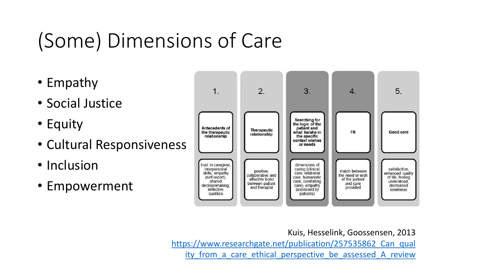## (Some) Dimensions of Care

- Empathy
- Social Justice
- Equity
- Cultural Responsiveness
- Inclusion
- Empowerment



Kuis, Hesselink, Goossensen, 2013 https://www.researchgate.net/publication/257535862 Can qual ity from a care ethical perspective be assessed A review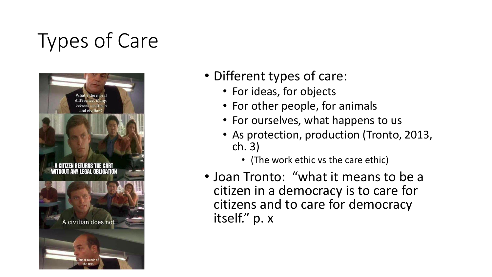## Types of Care



- Different types of care:
	- For ideas, for objects
	- For other people, for animals
	- For ourselves, what happens to us
	- As protection, production (Tronto, 2013, ch. 3)
		- (The work ethic vs the care ethic)
- Joan Tronto: "what it means to be a citizen in a democracy is to care for citizens and to care for democracy itself." p. x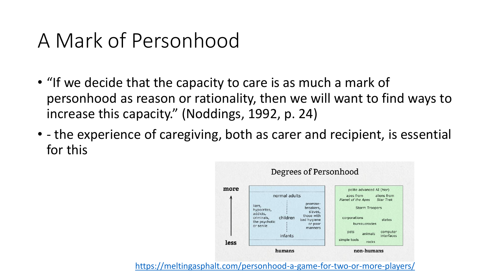#### A Mark of Personhood

- "If we decide that the capacity to care is as much a mark of personhood as reason or rationality, then we will want to find ways to increase this capacity." (Noddings, 1992, p. 24)
- - the experience of caregiving, both as carer and recipient, is essential for this



<https://meltingasphalt.com/personhood-a-game-for-two-or-more-players/>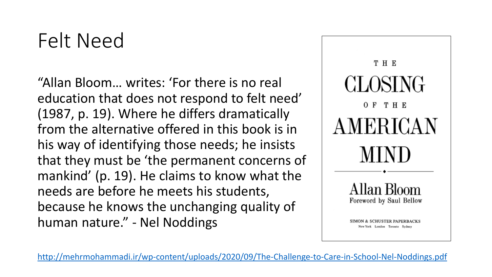#### Felt Need

"Allan Bloom… writes: 'For there is no real education that does not respond to felt need' (1987, p. 19). Where he differs dramatically from the alternative offered in this book is in his way of identifying those needs; he insists that they must be 'the permanent concerns of mankind' (p. 19). He claims to know what the needs are before he meets his students, because he knows the unchanging quality of human nature." - Nel Noddings



<http://mehrmohammadi.ir/wp-content/uploads/2020/09/The-Challenge-to-Care-in-School-Nel-Noddings.pdf>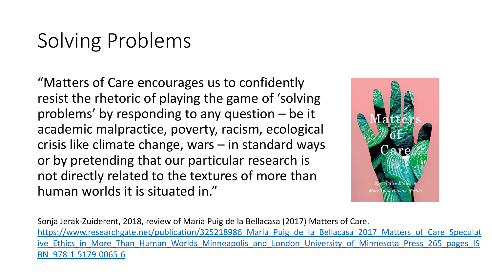#### Solving Problems

"Matters of Care encourages us to confidently resist the rhetoric of playing the game of 'solving problems' by responding to any question – be it academic malpractice, poverty, racism, ecological crisis like climate change, wars – in standard ways or by pretending that our particular research is not directly related to the textures of more than human worlds it is situated in."



Sonja Jerak-Zuiderent, 2018, review of María Puig de la Bellacasa (2017) Matters of Care. https://www.researchgate.net/publication/325218986 Maria Puig de la Bellacasa 2017 Matters of Care Speculat ive Ethics in More Than Human Worlds Minneapolis and London University of Minnesota Press 265 pages IS BN\_978-1-5179-0065-6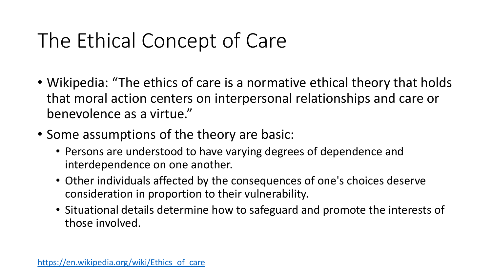#### The Ethical Concept of Care

- Wikipedia: "The ethics of care is a normative ethical theory that holds that moral action centers on interpersonal relationships and care or benevolence as a virtue."
- Some assumptions of the theory are basic:
	- Persons are understood to have varying degrees of dependence and interdependence on one another.
	- Other individuals affected by the consequences of one's choices deserve consideration in proportion to their vulnerability.
	- Situational details determine how to safeguard and promote the interests of those involved.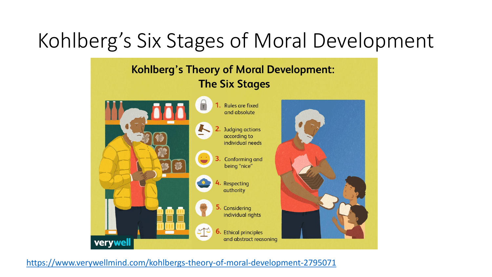#### Kohlberg's Six Stages of Moral Development

#### **Kohlberg's Theory of Moral Development: The Six Stages**



<https://www.verywellmind.com/kohlbergs-theory-of-moral-development-2795071>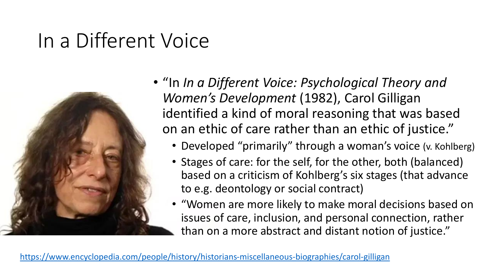#### In a Different Voice



- "In *In a Different Voice: Psychological Theory and Women's Development* (1982), Carol Gilligan identified a kind of moral reasoning that was based on an ethic of care rather than an ethic of justice."
	- Developed "primarily" through a woman's voice (v. Kohlberg)
	- Stages of care: for the self, for the other, both (balanced) based on a criticism of Kohlberg's six stages (that advance to e.g. deontology or social contract)
	- "Women are more likely to make moral decisions based on issues of care, inclusion, and personal connection, rather than on a more abstract and distant notion of justice."